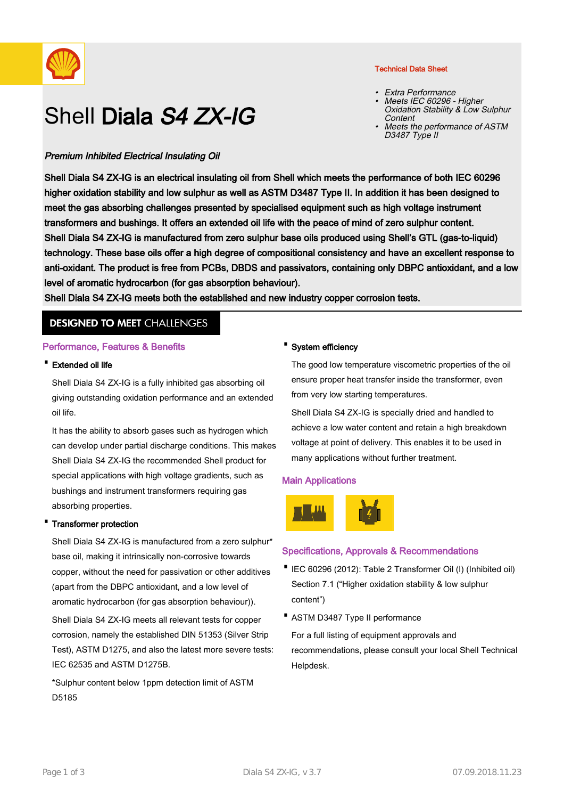

# Shell Diala S4 ZX-IG

## Premium Inhibited Electrical Insulating Oil

Shell Diala S4 ZX-IG is an electrical insulating oil from Shell which meets the performance of both IEC 60296 higher oxidation stability and low sulphur as well as ASTM D3487 Type II. In addition it has been designed to meet the gas absorbing challenges presented by specialised equipment such as high voltage instrument transformers and bushings. It offers an extended oil life with the peace of mind of zero sulphur content. Shell Diala S4 ZX-IG is manufactured from zero sulphur base oils produced using Shell's GTL (gas-to-liquid) technology. These base oils offer a high degree of compositional consistency and have an excellent response to anti-oxidant. The product is free from PCBs, DBDS and passivators, containing only DBPC antioxidant, and a low level of aromatic hydrocarbon (for gas absorption behaviour).

Shell Diala S4 ZX-IG meets both the established and new industry copper corrosion tests.

## **DESIGNED TO MEET CHALLENGES**

## Performance, Features & Benefits

#### · Extended oil life

Shell Diala S4 ZX-IG is a fully inhibited gas absorbing oil giving outstanding oxidation performance and an extended oil life.

It has the ability to absorb gases such as hydrogen which can develop under partial discharge conditions. This makes Shell Diala S4 ZX-IG the recommended Shell product for special applications with high voltage gradients, such as bushings and instrument transformers requiring gas absorbing properties.

## · Transformer protection

Shell Diala S4 ZX-IG is manufactured from a zero sulphur\* base oil, making it intrinsically non-corrosive towards copper, without the need for passivation or other additives (apart from the DBPC antioxidant, and a low level of aromatic hydrocarbon (for gas absorption behaviour)).

Shell Diala S4 ZX-IG meets all relevant tests for copper corrosion, namely the established DIN 51353 (Silver Strip Test), ASTM D1275, and also the latest more severe tests: IEC 62535 and ASTM D1275B.

\*Sulphur content below 1ppm detection limit of ASTM D5185

## · System efficiency

The good low temperature viscometric properties of the oil ensure proper heat transfer inside the transformer, even from very low starting temperatures.

Shell Diala S4 ZX-IG is specially dried and handled to achieve a low water content and retain a high breakdown voltage at point of delivery. This enables it to be used in many applications without further treatment.

## Main Applications



## Specifications, Approvals & Recommendations

- IEC 60296 (2012): Table 2 Transformer Oil (I) (Inhibited oil) Section 7.1 ("Higher oxidation stability & low sulphur content")
- · ASTM D3487 Type II performance

For a full listing of equipment approvals and recommendations, please consult your local Shell Technical Helpdesk.

## Technical Data Sheet

- Extra Performance
- Meets IEC 60296 Higher Oxidation Stability & Low Sulphur Content •
- Meets the performance of ASTM D3487 Type II •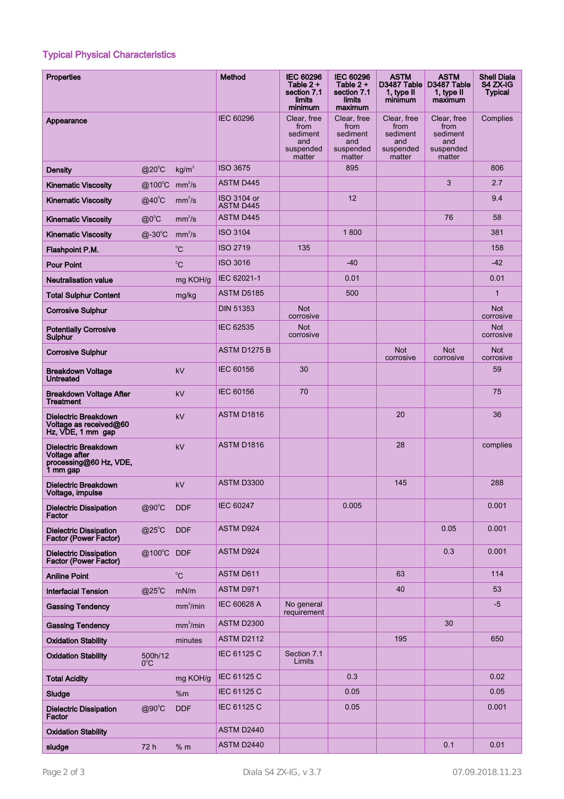# Typical Physical Characteristics

| <b>Properties</b>                                                           |                          |                      | Method                          | <b>IEC 60296</b><br>Table $2 +$<br>section 7.1<br>limits<br>minimum | <b>IEC 60296</b><br>Table $2 +$<br>section 7.1<br><b>limits</b><br>maximum | <b>ASTM</b><br>D3487 Table<br>1, type II<br>minimum           | <b>ASTM</b><br>D3487 Table<br>1, type II<br>maximum           | <b>Shell Diala</b><br>S4 ZX-IG<br><b>Typical</b> |
|-----------------------------------------------------------------------------|--------------------------|----------------------|---------------------------------|---------------------------------------------------------------------|----------------------------------------------------------------------------|---------------------------------------------------------------|---------------------------------------------------------------|--------------------------------------------------|
| Appearance                                                                  |                          |                      | <b>IEC 60296</b>                | Clear, free<br>from<br>sediment<br>and<br>suspended<br>matter       | Clear, free<br>from<br>sediment<br>and<br>suspended<br>matter              | Clear, free<br>from<br>sediment<br>and<br>suspended<br>matter | Clear, free<br>from<br>sediment<br>and<br>suspended<br>matter | Complies                                         |
| <b>Density</b>                                                              | $@20^{\circ}$ C          | kg/m <sup>3</sup>    | <b>ISO 3675</b>                 |                                                                     | 895                                                                        |                                                               |                                                               | 806                                              |
| <b>Kinematic Viscosity</b>                                                  | @100°C                   | mm <sup>2</sup> /s   | <b>ASTM D445</b>                |                                                                     |                                                                            |                                                               | 3                                                             | 2.7                                              |
| <b>Kinematic Viscosity</b>                                                  | $@$ 40 $°C$              | mm <sup>2</sup> /s   | ISO 3104 or<br><b>ASTM D445</b> |                                                                     | 12                                                                         |                                                               |                                                               | 9.4                                              |
| <b>Kinematic Viscosity</b>                                                  | $@0^{\circ}C$            | mm <sup>2</sup> /s   | <b>ASTM D445</b>                |                                                                     |                                                                            |                                                               | 76                                                            | 58                                               |
| <b>Kinematic Viscosity</b>                                                  | $@-30^{\circ}C$          | mm <sup>2</sup> /s   | <b>ISO 3104</b>                 |                                                                     | 1800                                                                       |                                                               |                                                               | 381                                              |
| Flashpoint P.M.                                                             |                          | $^0C$                | <b>ISO 2719</b>                 | 135                                                                 |                                                                            |                                                               |                                                               | 158                                              |
| <b>Pour Point</b>                                                           |                          | $^0C$                | <b>ISO 3016</b>                 |                                                                     | $-40$                                                                      |                                                               |                                                               | $-42$                                            |
| <b>Neutralisation value</b>                                                 |                          | mg KOH/g             | IEC 62021-1                     |                                                                     | 0.01                                                                       |                                                               |                                                               | 0.01                                             |
| <b>Total Sulphur Content</b>                                                |                          | mg/kg                | <b>ASTM D5185</b>               |                                                                     | 500                                                                        |                                                               |                                                               | $\mathbf{1}$                                     |
| <b>Corrosive Sulphur</b>                                                    |                          |                      | <b>DIN 51353</b>                | <b>Not</b><br>corrosive                                             |                                                                            |                                                               |                                                               | <b>Not</b><br>corrosive                          |
| <b>Potentially Corrosive</b><br><b>Sulphur</b>                              |                          |                      | <b>IEC 62535</b>                | <b>Not</b><br>corrosive                                             |                                                                            |                                                               |                                                               | <b>Not</b><br>corrosive                          |
| <b>Corrosive Sulphur</b>                                                    |                          |                      | ASTM D1275 B                    |                                                                     |                                                                            | <b>Not</b><br>corrosive                                       | <b>Not</b><br>corrosive                                       | <b>Not</b><br>corrosive                          |
| <b>Breakdown Voltage</b><br><b>Untreated</b>                                |                          | kV                   | <b>IEC 60156</b>                | 30                                                                  |                                                                            |                                                               |                                                               | 59                                               |
| <b>Breakdown Voltage After</b><br><b>Treatment</b>                          |                          | kV                   | <b>IEC 60156</b>                | 70                                                                  |                                                                            |                                                               |                                                               | 75                                               |
| <b>Dielectric Breakdown</b><br>Voltage as received@60<br>Hz, VDE, 1 mm gap  |                          | kV                   | ASTM D1816                      |                                                                     |                                                                            | 20                                                            |                                                               | 36                                               |
| Dielectric Breakdown<br>Voltage after<br>processing@60 Hz, VDE,<br>1 mm gap |                          | kV                   | ASTM D1816                      |                                                                     |                                                                            | 28                                                            |                                                               | complies                                         |
| <b>Dielectric Breakdown</b><br>Voltage, impulse                             |                          | kV                   | ASTM D3300                      |                                                                     |                                                                            | 145                                                           |                                                               | 288                                              |
| <b>Dielectric Dissipation</b><br>Factor                                     | $@90^{\circ}$ C          | <b>DDF</b>           | <b>IEC 60247</b>                |                                                                     | 0.005                                                                      |                                                               |                                                               | 0.001                                            |
| <b>Dielectric Dissipation</b><br>Factor (Power Factor)                      | $@25^{\circ}$ C          | <b>DDF</b>           | <b>ASTM D924</b>                |                                                                     |                                                                            |                                                               | 0.05                                                          | 0.001                                            |
| <b>Dielectric Dissipation</b><br><b>Factor (Power Factor)</b>               | @100°C DDF               |                      | ASTM D924                       |                                                                     |                                                                            |                                                               | 0.3                                                           | 0.001                                            |
| <b>Aniline Point</b>                                                        |                          | $^{\circ}$ C         | ASTM D611                       |                                                                     |                                                                            | 63                                                            |                                                               | 114                                              |
| <b>Interfacial Tension</b>                                                  | $@25^{\circ}$ C          | mN/m                 | ASTM D971                       |                                                                     |                                                                            | 40                                                            |                                                               | 53                                               |
| <b>Gassing Tendency</b>                                                     |                          | mm <sup>3</sup> /min | IEC 60628 A                     | No general<br>requirement                                           |                                                                            |                                                               |                                                               | $-5$                                             |
| <b>Gassing Tendency</b>                                                     |                          | mm <sup>3</sup> /min | <b>ASTM D2300</b>               |                                                                     |                                                                            |                                                               | 30                                                            |                                                  |
| <b>Oxidation Stability</b>                                                  |                          | minutes              | <b>ASTM D2112</b>               |                                                                     |                                                                            | 195                                                           |                                                               | 650                                              |
| <b>Oxidation Stability</b>                                                  | 500h/12<br>$0^{\circ}$ C |                      | IEC 61125 C                     | Section 7.1<br>Limits                                               |                                                                            |                                                               |                                                               |                                                  |
| <b>Total Acidity</b>                                                        |                          | mg KOH/g             | IEC 61125 C                     |                                                                     | 0.3                                                                        |                                                               |                                                               | 0.02                                             |
| Sludge                                                                      |                          | %m                   | IEC 61125 C                     |                                                                     | 0.05                                                                       |                                                               |                                                               | 0.05                                             |
| <b>Dielectric Dissipation</b><br>Factor                                     | $@90^{\circ}C$           | <b>DDF</b>           | IEC 61125 C                     |                                                                     | 0.05                                                                       |                                                               |                                                               | 0.001                                            |
| <b>Oxidation Stability</b>                                                  |                          |                      | ASTM D2440                      |                                                                     |                                                                            |                                                               |                                                               |                                                  |
| sludge                                                                      | 72 h                     | % m                  | ASTM D2440                      |                                                                     |                                                                            |                                                               | 0.1                                                           | 0.01                                             |